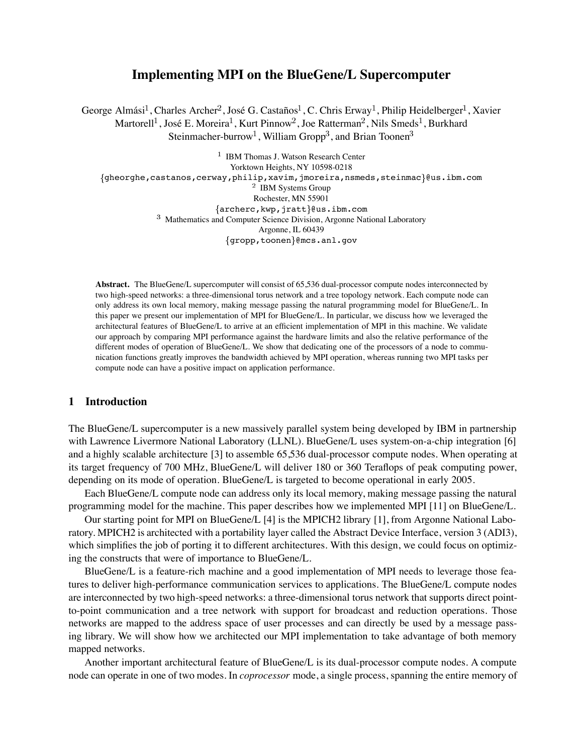# **Implementing MPI on the BlueGene/L Supercomputer**

George Almási<sup>1</sup>, Charles Archer<sup>2</sup>, José G. Castaños<sup>1</sup>, C. Chris Erway<sup>1</sup>, Philip Heidelberger<sup>1</sup>, Xavier Martorell<sup>1</sup>, José E. Moreira<sup>1</sup>, Kurt Pinnow<sup>2</sup>, Joe Ratterman<sup>2</sup>, Nils Smeds<sup>1</sup>, Burkhard Steinmacher-burrow<sup>1</sup>, William Gropp<sup>3</sup>, and Brian Toonen<sup>3</sup>

 $1$  IBM Thomas J. Watson Research Center Yorktown Heights, NY 10598-0218 {gheorghe, castanos, cerway, philip, xavim, jmoreira, nsmeds, steinmac}@us.ibm.com  $2$  IBM Systems Group Rochester, MN 55901  $\{ \text{archerc}, \text{kwp}, \text{jratt} \}$ @us.ibm.com <sup>3</sup> Mathematics and Computer Science Division, Argonne National Laboratory Argonne, IL 60439 {gropp, toonen}@mcs.anl.gov

**Abstract.** The BlueGene/L supercomputer will consist of 65,536 dual-processor compute nodes interconnected by two high-speed networks: a three-dimensional torus network and a tree topology network. Each compute node can only address its own local memory, making message passing the natural programming model for BlueGene/L. In this paper we present our implementation of MPI for BlueGene/L. In particular, we discuss how we leveraged the architectural features of BlueGene/L to arrive at an efficient implementation of MPI in this machine. We validate our approach by comparing MPI performance against the hardware limits and also the relative performance of the different modes of operation of BlueGene/L. We show that dedicating one of the processors of a node to communication functions greatly improves the bandwidth achieved by MPI operation, whereas running two MPI tasks per compute node can have a positive impact on application performance.

#### **1 Introduction**

The BlueGene/L supercomputer is a new massively parallel system being developed by IBM in partnership with Lawrence Livermore National Laboratory (LLNL). BlueGene/L uses system-on-a-chip integration [6] and a highly scalable architecture [3] to assemble 65,536 dual-processor compute nodes. When operating at its target frequency of 700 MHz, BlueGene/L will deliver 180 or 360 Teraflops of peak computing power, depending on its mode of operation. BlueGene/L is targeted to become operational in early 2005.

Each BlueGene/L compute node can address only its local memory, making message passing the natural programming model for the machine. This paper describes how we implemented MPI [11] on BlueGene/L.

Our starting point for MPI on BlueGene/L [4] is the MPICH2 library [1], from Argonne National Laboratory. MPICH2 is architected with a portability layer called the Abstract Device Interface, version 3 (ADI3), which simplifies the job of porting it to different architectures. With this design, we could focus on optimizing the constructs that were of importance to BlueGene/L.

BlueGene/L is a feature-rich machine and a good implementation of MPI needs to leverage those features to deliver high-performance communication services to applications. The BlueGene/L compute nodes are interconnected by two high-speed networks: a three-dimensional torus network that supports direct pointto-point communication and a tree network with support for broadcast and reduction operations. Those networks are mapped to the address space of user processes and can directly be used by a message passing library. We will show how we architected our MPI implementation to take advantage of both memory mapped networks.

Another important architectural feature of BlueGene/L is its dual-processor compute nodes. A compute node can operate in one of two modes. In *coprocessor* mode, a single process, spanning the entire memory of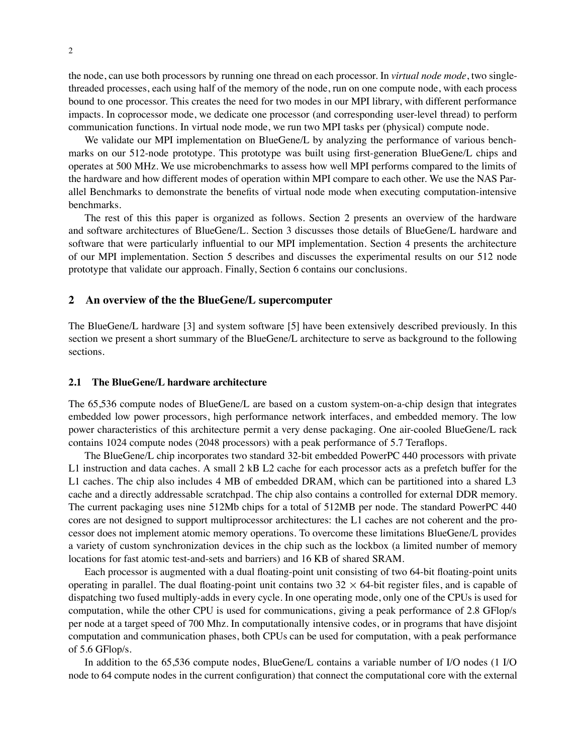the node, can use both processors by running one thread on each processor. In *virtual node mode*, two singlethreaded processes, each using half of the memory of the node, run on one compute node, with each process bound to one processor. This creates the need for two modes in our MPI library, with different performance impacts. In coprocessor mode, we dedicate one processor (and corresponding user-level thread) to perform communication functions. In virtual node mode, we run two MPI tasks per (physical) compute node.

We validate our MPI implementation on BlueGene/L by analyzing the performance of various benchmarks on our 512-node prototype. This prototype was built using first-generation BlueGene/L chips and operates at 500 MHz. We use microbenchmarks to assess how well MPI performs compared to the limits of the hardware and how different modes of operation within MPI compare to each other. We use the NAS Parallel Benchmarks to demonstrate the benefits of virtual node mode when executing computation-intensive benchmarks.

The rest of this this paper is organized as follows. Section 2 presents an overview of the hardware and software architectures of BlueGene/L. Section 3 discusses those details of BlueGene/L hardware and software that were particularly influential to our MPI implementation. Section 4 presents the architecture of our MPI implementation. Section 5 describes and discusses the experimental results on our 512 node prototype that validate our approach. Finally, Section 6 contains our conclusions.

#### **2 An overview of the the BlueGene/L supercomputer**

The BlueGene/L hardware [3] and system software [5] have been extensively described previously. In this section we present a short summary of the BlueGene/L architecture to serve as background to the following sections.

## **2.1 The BlueGene/L hardware architecture**

The 65,536 compute nodes of BlueGene/L are based on a custom system-on-a-chip design that integrates embedded low power processors, high performance network interfaces, and embedded memory. The low power characteristics of this architecture permit a very dense packaging. One air-cooled BlueGene/L rack contains 1024 compute nodes (2048 processors) with a peak performance of 5.7 Teraflops.

The BlueGene/L chip incorporates two standard 32-bit embedded PowerPC 440 processors with private L1 instruction and data caches. A small 2 kB L2 cache for each processor acts as a prefetch buffer for the L1 caches. The chip also includes 4 MB of embedded DRAM, which can be partitioned into a shared L3 cache and a directly addressable scratchpad. The chip also contains a controlled for external DDR memory. The current packaging uses nine 512Mb chips for a total of 512MB per node. The standard PowerPC 440 cores are not designed to support multiprocessor architectures: the L1 caches are not coherent and the processor does not implement atomic memory operations. To overcome these limitations BlueGene/L provides a variety of custom synchronization devices in the chip such as the lockbox (a limited number of memory locations for fast atomic test-and-sets and barriers) and 16 KB of shared SRAM.

Each processor is augmented with a dual floating-point unit consisting of two 64-bit floating-point units operating in parallel. The dual floating-point unit contains two  $32 \times 64$ -bit register files, and is capable of dispatching two fused multiply-adds in every cycle. In one operating mode, only one of the CPUs is used for computation, while the other CPU is used for communications, giving a peak performance of 2.8 GFlop/s per node at a target speed of 700 Mhz. In computationally intensive codes, or in programs that have disjoint computation and communication phases, both CPUs can be used for computation, with a peak performance of 5.6 GFlop/s.

In addition to the 65,536 compute nodes, BlueGene/L contains a variable number of I/O nodes (1 I/O node to 64 compute nodes in the current configuration) that connect the computational core with the external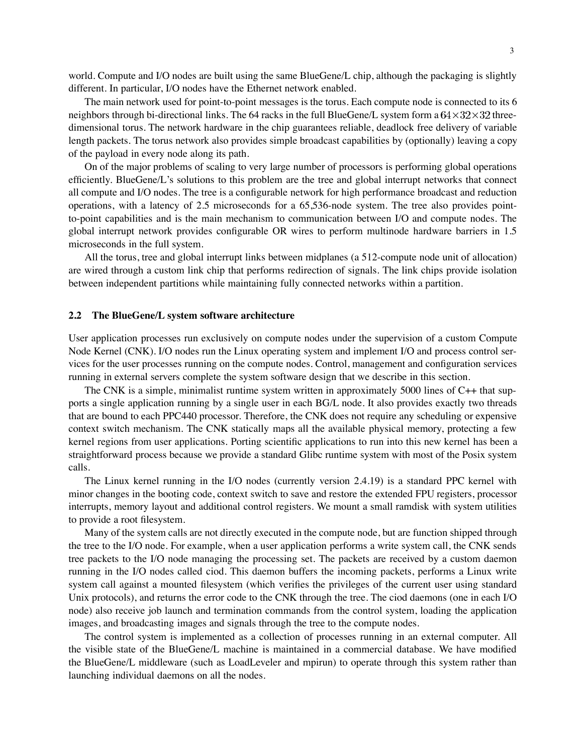world. Compute and I/O nodes are built using the same BlueGene/L chip, although the packaging is slightly different. In particular, I/O nodes have the Ethernet network enabled.

The main network used for point-to-point messages is the torus. Each compute node is connected to its 6 neighbors through bi-directional links. The 64 racks in the full BlueGene/L system form a  $64 \times 32 \times 32$  threedimensional torus. The network hardware in the chip guarantees reliable, deadlock free delivery of variable length packets. The torus network also provides simple broadcast capabilities by (optionally) leaving a copy of the payload in every node along its path.

On of the major problems of scaling to very large number of processors is performing global operations efficiently. BlueGene/L's solutions to this problem are the tree and global interrupt networks that connect all compute and I/O nodes. The tree is a configurable network for high performance broadcast and reduction operations, with a latency of 2.5 microseconds for a 65,536-node system. The tree also provides pointto-point capabilities and is the main mechanism to communication between I/O and compute nodes. The global interrupt network provides configurable OR wires to perform multinode hardware barriers in 1.5 microseconds in the full system.

All the torus, tree and global interrupt links between midplanes (a 512-compute node unit of allocation) are wired through a custom link chip that performs redirection of signals. The link chips provide isolation between independent partitions while maintaining fully connected networks within a partition.

#### **2.2 The BlueGene/L system software architecture**

User application processes run exclusively on compute nodes under the supervision of a custom Compute Node Kernel (CNK). I/O nodes run the Linux operating system and implement I/O and process control services for the user processes running on the compute nodes. Control, management and configuration services running in external servers complete the system software design that we describe in this section.

The CNK is a simple, minimalist runtime system written in approximately 5000 lines of C++ that supports a single application running by a single user in each BG/L node. It also provides exactly two threads that are bound to each PPC440 processor. Therefore, the CNK does not require any scheduling or expensive context switch mechanism. The CNK statically maps all the available physical memory, protecting a few kernel regions from user applications. Porting scientific applications to run into this new kernel has been a straightforward process because we provide a standard Glibc runtime system with most of the Posix system calls.

The Linux kernel running in the I/O nodes (currently version 2.4.19) is a standard PPC kernel with minor changes in the booting code, context switch to save and restore the extended FPU registers, processor interrupts, memory layout and additional control registers. We mount a small ramdisk with system utilities to provide a root filesystem.

Many of the system calls are not directly executed in the compute node, but are function shipped through the tree to the I/O node. For example, when a user application performs a write system call, the CNK sends tree packets to the I/O node managing the processing set. The packets are received by a custom daemon running in the I/O nodes called ciod. This daemon buffers the incoming packets, performs a Linux write system call against a mounted filesystem (which verifies the privileges of the current user using standard Unix protocols), and returns the error code to the CNK through the tree. The ciod daemons (one in each I/O node) also receive job launch and termination commands from the control system, loading the application images, and broadcasting images and signals through the tree to the compute nodes.

The control system is implemented as a collection of processes running in an external computer. All the visible state of the BlueGene/L machine is maintained in a commercial database. We have modified the BlueGene/L middleware (such as LoadLeveler and mpirun) to operate through this system rather than launching individual daemons on all the nodes.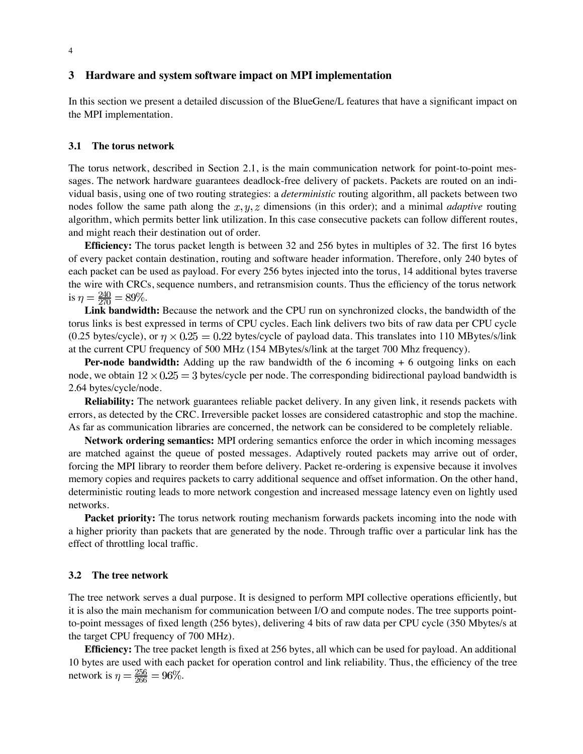## **3 Hardware and system software impact on MPI implementation**

In this section we present a detailed discussion of the BlueGene/L features that have a significant impact on the MPI implementation.

#### **3.1 The torus network**

The torus network, described in Section 2.1, is the main communication network for point-to-point messages. The network hardware guarantees deadlock-free delivery of packets. Packets are routed on an individual basis, using one of two routing strategies: a *deterministic* routing algorithm, all packets between two nodes follow the same path along the  $x, y, z$  dimensions (in this order); and a minimal *adaptive* routing algorithm, which permits better link utilization. In this case consecutive packets can follow different routes, and might reach their destination out of order.

**Efficiency:** The torus packet length is between 32 and 256 bytes in multiples of 32. The first 16 bytes of every packet contain destination, routing and software header information. Therefore, only 240 bytes of each packet can be used as payload. For every 256 bytes injected into the torus, 14 additional bytes traverse the wire with CRCs, sequence numbers, and retransmision counts. Thus the efficiency of the torus network is  $\eta = \frac{240}{270} = 89\%.$ 

**Link bandwidth:** Because the network and the CPU run on synchronized clocks, the bandwidth of the torus links is best expressed in terms of CPU cycles. Each link delivers two bits of raw data per CPU cycle (0.25 bytes/cycle), or  $\eta \times 0.25 = 0.22$  bytes/cycle of payload data. This translates into 110 MBytes/s/link at the current CPU frequency of 500 MHz (154 MBytes/s/link at the target 700 Mhz frequency).

**Per-node bandwidth:** Adding up the raw bandwidth of the 6 incoming + 6 outgoing links on each node, we obtain  $12 \times 0.25 = 3$  bytes/cycle per node. The corresponding bidirectional payload bandwidth is 2.64 bytes/cycle/node.

**Reliability:** The network guarantees reliable packet delivery. In any given link, it resends packets with errors, as detected by the CRC. Irreversible packet losses are considered catastrophic and stop the machine. As far as communication libraries are concerned, the network can be considered to be completely reliable.

**Network ordering semantics:** MPI ordering semantics enforce the order in which incoming messages are matched against the queue of posted messages. Adaptively routed packets may arrive out of order, forcing the MPI library to reorder them before delivery. Packet re-ordering is expensive because it involves memory copies and requires packets to carry additional sequence and offset information. On the other hand, deterministic routing leads to more network congestion and increased message latency even on lightly used networks.

**Packet priority:** The torus network routing mechanism forwards packets incoming into the node with a higher priority than packets that are generated by the node. Through traffic over a particular link has the effect of throttling local traffic.

#### **3.2 The tree network**

The tree network serves a dual purpose. It is designed to perform MPI collective operations efficiently, but it is also the main mechanism for communication between I/O and compute nodes. The tree supports pointto-point messages of fixed length (256 bytes), delivering 4 bits of raw data per CPU cycle (350 Mbytes/s at the target CPU frequency of 700 MHz).

**Efficiency:** The tree packet length is fixed at 256 bytes, all which can be used for payload. An additional 10 bytes are used with each packet for operation control and link reliability. Thus, the efficiency of the tree network is  $\eta = \frac{256}{266} = 96\%.$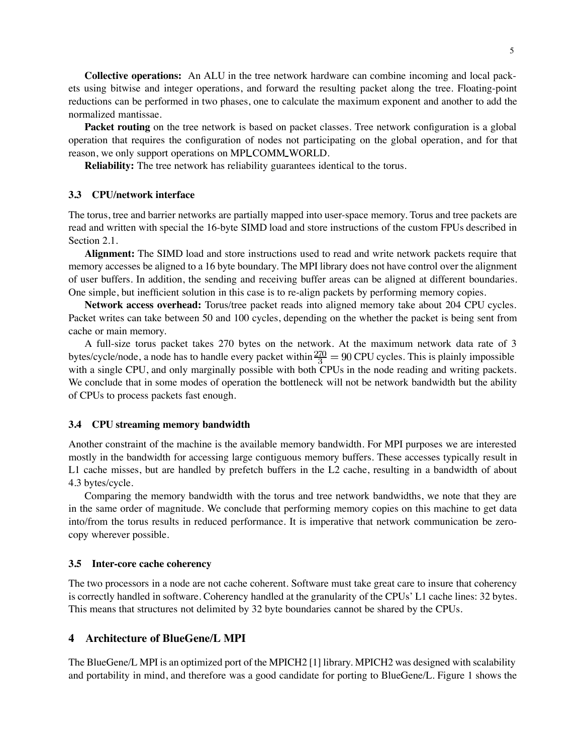**Collective operations:** An ALU in the tree network hardware can combine incoming and local packets using bitwise and integer operations, and forward the resulting packet along the tree. Floating-point reductions can be performed in two phases, one to calculate the maximum exponent and another to add the normalized mantissae.

**Packet routing** on the tree network is based on packet classes. Tree network configuration is a global operation that requires the configuration of nodes not participating on the global operation, and for that reason, we only support operations on MPI COMM WORLD.

**Reliability:** The tree network has reliability guarantees identical to the torus.

#### **3.3 CPU/network interface**

The torus, tree and barrier networks are partially mapped into user-space memory. Torus and tree packets are read and written with special the 16-byte SIMD load and store instructions of the custom FPUs described in Section 2.1.

**Alignment:** The SIMD load and store instructions used to read and write network packets require that memory accesses be aligned to a 16 byte boundary. The MPI library does not have control over the alignment of user buffers. In addition, the sending and receiving buffer areas can be aligned at different boundaries. One simple, but inefficient solution in this case is to re-align packets by performing memory copies.

**Network access overhead:** Torus/tree packet reads into aligned memory take about 204 CPU cycles. Packet writes can take between 50 and 100 cycles, depending on the whether the packet is being sent from cache or main memory.

A full-size torus packet takes 270 bytes on the network. At the maximum network data rate of 3 bytes/cycle/node, a node has to handle every packet within  $\frac{270}{3} = 90$  CPU cycles. This is plainly impossible with a single CPU, and only marginally possible with both CPUs in the node reading and writing packets. We conclude that in some modes of operation the bottleneck will not be network bandwidth but the ability of CPUs to process packets fast enough.

#### **3.4 CPU streaming memory bandwidth**

Another constraint of the machine is the available memory bandwidth. For MPI purposes we are interested mostly in the bandwidth for accessing large contiguous memory buffers. These accesses typically result in L1 cache misses, but are handled by prefetch buffers in the L2 cache, resulting in a bandwidth of about 4.3 bytes/cycle.

Comparing the memory bandwidth with the torus and tree network bandwidths, we note that they are in the same order of magnitude. We conclude that performing memory copies on this machine to get data into/from the torus results in reduced performance. It is imperative that network communication be zerocopy wherever possible.

#### **3.5 Inter-core cache coherency**

The two processors in a node are not cache coherent. Software must take great care to insure that coherency is correctly handled in software. Coherency handled at the granularity of the CPUs' L1 cache lines: 32 bytes. This means that structures not delimited by 32 byte boundaries cannot be shared by the CPUs.

## **4 Architecture of BlueGene/L MPI**

The BlueGene/L MPI is an optimized port of the MPICH2 [1] library. MPICH2 was designed with scalability and portability in mind, and therefore was a good candidate for porting to BlueGene/L. Figure 1 shows the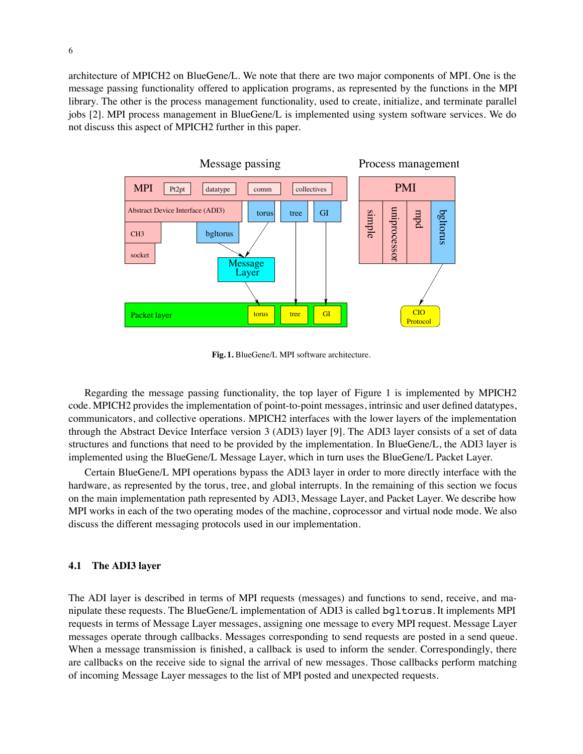architecture of MPICH2 on BlueGene/L. We note that there are two major components of MPI. One is the message passing functionality offered to application programs, as represented by the functions in the MPI library. The other is the process management functionality, used to create, initialize, and terminate parallel jobs [2]. MPI process management in BlueGene/L is implemented using system software services. We do not discuss this aspect of MPICH2 further in this paper.



**Fig. 1.** BlueGene/L MPI software architecture.

Regarding the message passing functionality, the top layer of Figure 1 is implemented by MPICH2 code. MPICH2 provides the implementation of point-to-point messages, intrinsic and user defined datatypes, communicators, and collective operations. MPICH2 interfaces with the lower layers of the implementation through the Abstract Device Interface version 3 (ADI3) layer [9]. The ADI3 layer consists of a set of data structures and functions that need to be provided by the implementation. In BlueGene/L, the ADI3 layer is implemented using the BlueGene/L Message Layer, which in turn uses the BlueGene/L Packet Layer.

Certain BlueGene/L MPI operations bypass the ADI3 layer in order to more directly interface with the hardware, as represented by the torus, tree, and global interrupts. In the remaining of this section we focus on the main implementation path represented by ADI3, Message Layer, and Packet Layer. We describe how MPI works in each of the two operating modes of the machine, coprocessor and virtual node mode. We also discuss the different messaging protocols used in our implementation.

## **4.1 The ADI3 layer**

The ADI layer is described in terms of MPI requests (messages) and functions to send, receive, and manipulate these requests. The BlueGene/L implementation of ADI3 is called bgltorus. It implements MPI requests in terms of Message Layer messages, assigning one message to every MPI request. Message Layer messages operate through callbacks. Messages corresponding to send requests are posted in a send queue. When a message transmission is finished, a callback is used to inform the sender. Correspondingly, there are callbacks on the receive side to signal the arrival of new messages. Those callbacks perform matching of incoming Message Layer messages to the list of MPI posted and unexpected requests.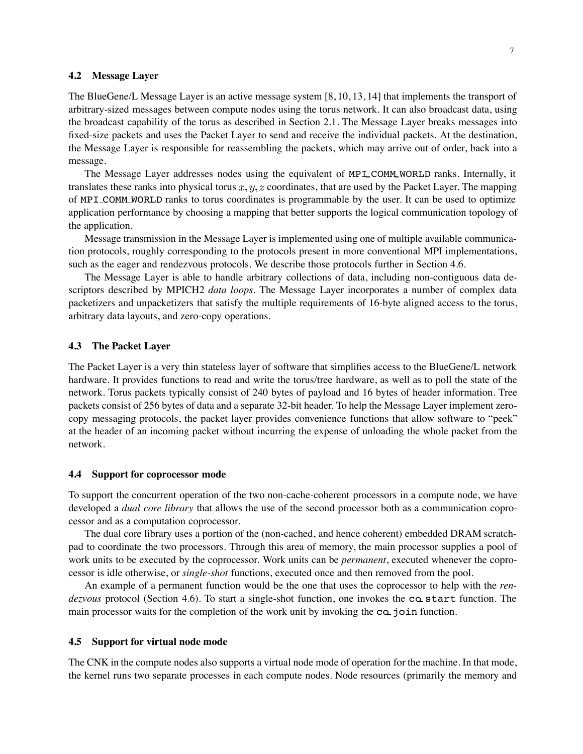#### **4.2 Message Layer**

The BlueGene/L Message Layer is an active message system [8, 10, 13, 14] that implements the transport of arbitrary-sized messages between compute nodes using the torus network. It can also broadcast data, using the broadcast capability of the torus as described in Section 2.1. The Message Layer breaks messages into fixed-size packets and uses the Packet Layer to send and receive the individual packets. At the destination, the Message Layer is responsible for reassembling the packets, which may arrive out of order, back into a message.

The Message Layer addresses nodes using the equivalent of MPI COMM WORLD ranks. Internally, it translates these ranks into physical torus x,  $y$ , z coordinates, that are used by the Packet Layer. The mapping of MPI COMM WORLD ranks to torus coordinates is programmable by the user. It can be used to optimize application performance by choosing a mapping that better supports the logical communication topology of the application.

Message transmission in the Message Layer is implemented using one of multiple available communication protocols, roughly corresponding to the protocols present in more conventional MPI implementations, such as the eager and rendezvous protocols. We describe those protocols further in Section 4.6.

The Message Layer is able to handle arbitrary collections of data, including non-contiguous data descriptors described by MPICH2 *data loops*. The Message Layer incorporates a number of complex data packetizers and unpacketizers that satisfy the multiple requirements of 16-byte aligned access to the torus, arbitrary data layouts, and zero-copy operations.

## **4.3 The Packet Layer**

The Packet Layer is a very thin stateless layer of software that simplifies access to the BlueGene/L network hardware. It provides functions to read and write the torus/tree hardware, as well as to poll the state of the network. Torus packets typically consist of 240 bytes of payload and 16 bytes of header information. Tree packets consist of 256 bytes of data and a separate 32-bit header. To help the Message Layer implement zerocopy messaging protocols, the packet layer provides convenience functions that allow software to "peek" at the header of an incoming packet without incurring the expense of unloading the whole packet from the network.

#### **4.4 Support for coprocessor mode**

To support the concurrent operation of the two non-cache-coherent processors in a compute node, we have developed a *dual core library* that allows the use of the second processor both as a communication coprocessor and as a computation coprocessor.

The dual core library uses a portion of the (non-cached, and hence coherent) embedded DRAM scratchpad to coordinate the two processors. Through this area of memory, the main processor supplies a pool of work units to be executed by the coprocessor. Work units can be *permanent*, executed whenever the coprocessor is idle otherwise, or *single-shot* functions, executed once and then removed from the pool.

An example of a permanent function would be the one that uses the coprocessor to help with the *rendezvous* protocol (Section 4.6). To start a single-shot function, one invokes the co start function. The main processor waits for the completion of the work unit by invoking the  $ca$  join function.

# **4.5 Support for virtual node mode**

The CNK in the compute nodes also supports a virtual node mode of operation for the machine. In that mode, the kernel runs two separate processes in each compute nodes. Node resources (primarily the memory and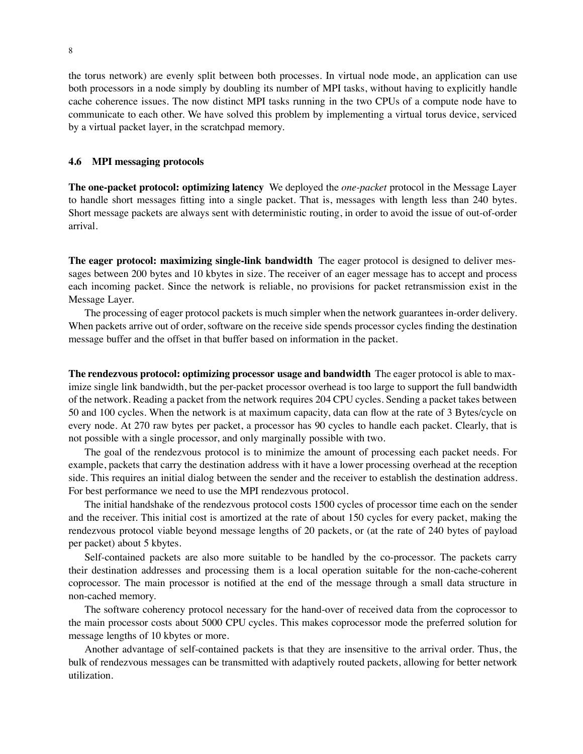the torus network) are evenly split between both processes. In virtual node mode, an application can use both processors in a node simply by doubling its number of MPI tasks, without having to explicitly handle cache coherence issues. The now distinct MPI tasks running in the two CPUs of a compute node have to communicate to each other. We have solved this problem by implementing a virtual torus device, serviced by a virtual packet layer, in the scratchpad memory.

## **4.6 MPI messaging protocols**

**The one-packet protocol: optimizing latency** We deployed the *one-packet* protocol in the Message Layer to handle short messages fitting into a single packet. That is, messages with length less than 240 bytes. Short message packets are always sent with deterministic routing, in order to avoid the issue of out-of-order arrival.

**The eager protocol: maximizing single-link bandwidth** The eager protocol is designed to deliver messages between 200 bytes and 10 kbytes in size. The receiver of an eager message has to accept and process each incoming packet. Since the network is reliable, no provisions for packet retransmission exist in the Message Layer.

The processing of eager protocol packets is much simpler when the network guarantees in-order delivery. When packets arrive out of order, software on the receive side spends processor cycles finding the destination message buffer and the offset in that buffer based on information in the packet.

**The rendezvous protocol: optimizing processor usage and bandwidth** The eager protocol is able to maximize single link bandwidth, but the per-packet processor overhead is too large to support the full bandwidth of the network. Reading a packet from the network requires 204 CPU cycles. Sending a packet takes between 50 and 100 cycles. When the network is at maximum capacity, data can flow at the rate of 3 Bytes/cycle on every node. At 270 raw bytes per packet, a processor has 90 cycles to handle each packet. Clearly, that is not possible with a single processor, and only marginally possible with two.

The goal of the rendezvous protocol is to minimize the amount of processing each packet needs. For example, packets that carry the destination address with it have a lower processing overhead at the reception side. This requires an initial dialog between the sender and the receiver to establish the destination address. For best performance we need to use the MPI rendezvous protocol.

The initial handshake of the rendezvous protocol costs 1500 cycles of processor time each on the sender and the receiver. This initial cost is amortized at the rate of about 150 cycles for every packet, making the rendezvous protocol viable beyond message lengths of 20 packets, or (at the rate of 240 bytes of payload per packet) about 5 kbytes.

Self-contained packets are also more suitable to be handled by the co-processor. The packets carry their destination addresses and processing them is a local operation suitable for the non-cache-coherent coprocessor. The main processor is notified at the end of the message through a small data structure in non-cached memory.

The software coherency protocol necessary for the hand-over of received data from the coprocessor to the main processor costs about 5000 CPU cycles. This makes coprocessor mode the preferred solution for message lengths of 10 kbytes or more.

Another advantage of self-contained packets is that they are insensitive to the arrival order. Thus, the bulk of rendezvous messages can be transmitted with adaptively routed packets, allowing for better network utilization.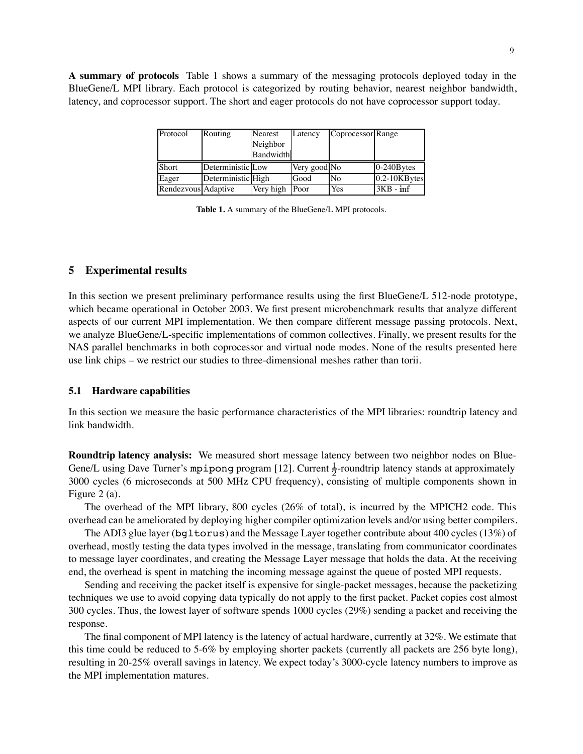**A summary of protocols** Table 1 shows a summary of the messaging protocols deployed today in the BlueGene/L MPI library. Each protocol is categorized by routing behavior, nearest neighbor bandwidth, latency, and coprocessor support. The short and eager protocols do not have coprocessor support today.

| Protocol | Routing            | Nearest   | Latency      | Coprocessor Range |                   |
|----------|--------------------|-----------|--------------|-------------------|-------------------|
|          |                    | Neighbor  |              |                   |                   |
|          |                    | Bandwidth |              |                   |                   |
|          |                    |           |              |                   |                   |
| Short    | Deterministic Low  |           | Very good No |                   | 0-240Bytes        |
| Eager    | Deterministic High |           | Good         | No                | $0.2 - 10KB$ ytes |

**Table 1.** A summary of the BlueGene/L MPI protocols.

#### **5 Experimental results**

In this section we present preliminary performance results using the first BlueGene/L 512-node prototype, which became operational in October 2003. We first present microbenchmark results that analyze different aspects of our current MPI implementation. We then compare different message passing protocols. Next, we analyze BlueGene/L-specific implementations of common collectives. Finally, we present results for the NAS parallel benchmarks in both coprocessor and virtual node modes. None of the results presented here use link chips – we restrict our studies to three-dimensional meshes rather than torii.

#### **5.1 Hardware capabilities**

In this section we measure the basic performance characteristics of the MPI libraries: roundtrip latency and link bandwidth.

**Roundtrip latency analysis:** We measured short message latency between two neighbor nodes on Blue-Gene/L using Dave Turner's mpipong program [12]. Current  $\frac{1}{2}$ -roundtrip latency stands at approximately 3000 cycles (6 microseconds at 500 MHz CPU frequency), consisting of multiple components shown in Figure 2 (a).

The overhead of the MPI library, 800 cycles (26% of total), is incurred by the MPICH2 code. This overhead can be ameliorated by deploying higher compiler optimization levels and/or using better compilers.

The ADI3 glue layer (bgltorus) and the Message Layer together contribute about 400 cycles (13%) of overhead, mostly testing the data types involved in the message, translating from communicator coordinates to message layer coordinates, and creating the Message Layer message that holds the data. At the receiving end, the overhead is spent in matching the incoming message against the queue of posted MPI requests.

Sending and receiving the packet itself is expensive for single-packet messages, because the packetizing techniques we use to avoid copying data typically do not apply to the first packet. Packet copies cost almost 300 cycles. Thus, the lowest layer of software spends 1000 cycles (29%) sending a packet and receiving the response.

The final component of MPI latency is the latency of actual hardware, currently at 32%. We estimate that this time could be reduced to 5-6% by employing shorter packets (currently all packets are 256 byte long), resulting in 20-25% overall savings in latency. We expect today's 3000-cycle latency numbers to improve as the MPI implementation matures.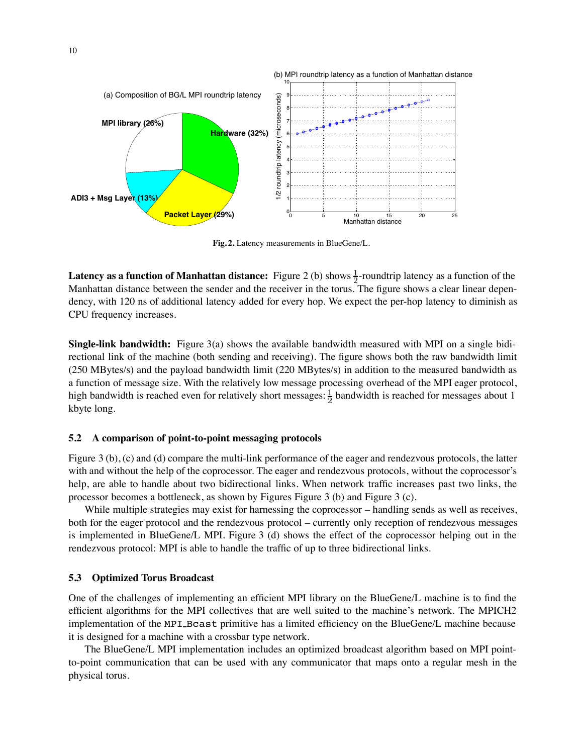

**Fig. 2.** Latency measurements in BlueGene/L.

**Latency as a function of Manhattan distance:** Figure 2 (b) shows  $\frac{1}{2}$ -roundtrip latency as a function of the Manhattan distance between the sender and the receiver in the torus. The figure shows a clear linear dependency, with 120 ns of additional latency added for every hop. We expect the per-hop latency to diminish as CPU frequency increases.

**Single-link bandwidth:** Figure 3(a) shows the available bandwidth measured with MPI on a single bidirectional link of the machine (both sending and receiving). The figure shows both the raw bandwidth limit (250 MBytes/s) and the payload bandwidth limit (220 MBytes/s) in addition to the measured bandwidth as a function of message size. With the relatively low message processing overhead of the MPI eager protocol, high bandwidth is reached even for relatively short messages:  $\frac{1}{2}$  bandwidth is reached for messages about 1 kbyte long.

## **5.2 A comparison of point-to-point messaging protocols**

Figure 3 (b), (c) and (d) compare the multi-link performance of the eager and rendezvous protocols, the latter with and without the help of the coprocessor. The eager and rendezvous protocols, without the coprocessor's help, are able to handle about two bidirectional links. When network traffic increases past two links, the processor becomes a bottleneck, as shown by Figures Figure 3 (b) and Figure 3 (c).

While multiple strategies may exist for harnessing the coprocessor – handling sends as well as receives, both for the eager protocol and the rendezvous protocol – currently only reception of rendezvous messages is implemented in BlueGene/L MPI. Figure 3 (d) shows the effect of the coprocessor helping out in the rendezvous protocol: MPI is able to handle the traffic of up to three bidirectional links.

# **5.3 Optimized Torus Broadcast**

One of the challenges of implementing an efficient MPI library on the BlueGene/L machine is to find the efficient algorithms for the MPI collectives that are well suited to the machine's network. The MPICH2 implementation of the MPI Bcast primitive has a limited efficiency on the BlueGene/L machine because it is designed for a machine with a crossbar type network.

The BlueGene/L MPI implementation includes an optimized broadcast algorithm based on MPI pointto-point communication that can be used with any communicator that maps onto a regular mesh in the physical torus.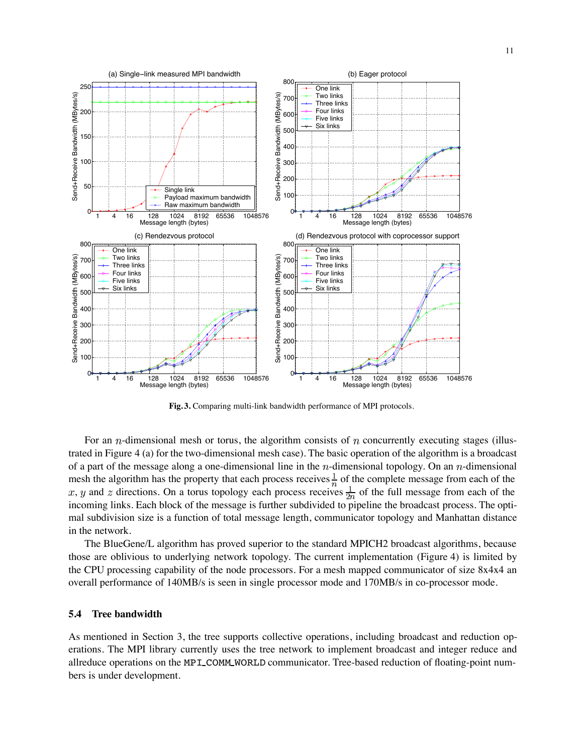

**Fig. 3.** Comparing multi-link bandwidth performance of MPI protocols.

For an  $n$ -dimensional mesh or torus, the algorithm consists of  $n$  concurrently executing stages (illustrated in Figure 4 (a) for the two-dimensional mesh case). The basic operation of the algorithm is a broadcast of a part of the message along a one-dimensional line in the  $n$ -dimensional topology. On an  $n$ -dimensional mesh the algorithm has the property that each process receives  $\frac{1}{n}$  of the complete message from each of the , y and z directions. On a torus topology each process receives  $\frac{1}{2n}$  of the full message from each of the incoming links. Each block of the message is further subdivided to pipeline the broadcast process. The optimal subdivision size is a function of total message length, communicator topology and Manhattan distance in the network.

The BlueGene/L algorithm has proved superior to the standard MPICH2 broadcast algorithms, because those are oblivious to underlying network topology. The current implementation (Figure 4) is limited by the CPU processing capability of the node processors. For a mesh mapped communicator of size 8x4x4 an overall performance of 140MB/s is seen in single processor mode and 170MB/s in co-processor mode.

#### **5.4 Tree bandwidth**

As mentioned in Section 3, the tree supports collective operations, including broadcast and reduction operations. The MPI library currently uses the tree network to implement broadcast and integer reduce and allreduce operations on the MPI COMM WORLD communicator. Tree-based reduction of floating-point numbers is under development.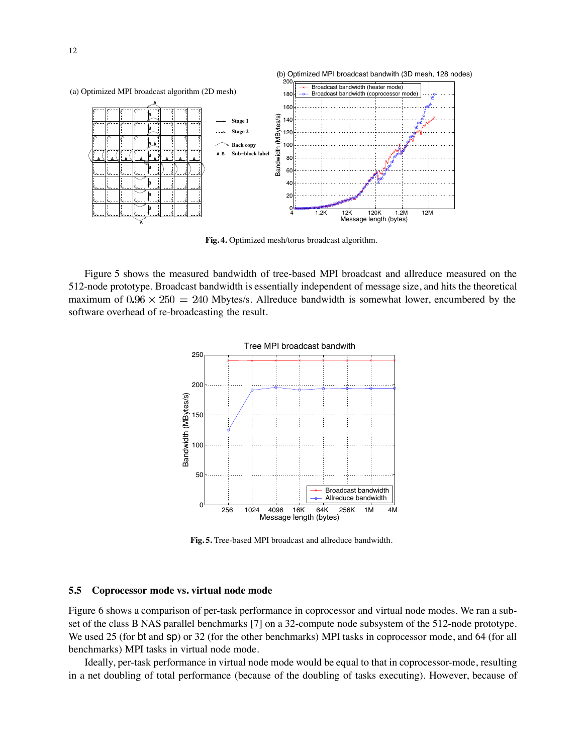

**Fig. 4.** Optimized mesh/torus broadcast algorithm.

Figure 5 shows the measured bandwidth of tree-based MPI broadcast and allreduce measured on the 512-node prototype. Broadcast bandwidth is essentially independent of message size, and hits the theoretical maximum of  $0.96 \times 250 = 240$  Mbytes/s. Allreduce bandwidth is somewhat lower, encumbered by the software overhead of re-broadcasting the result.



**Fig. 5.** Tree-based MPI broadcast and allreduce bandwidth.

#### **5.5 Coprocessor mode vs. virtual node mode**

Figure 6 shows a comparison of per-task performance in coprocessor and virtual node modes. We ran a subset of the class B NAS parallel benchmarks [7] on a 32-compute node subsystem of the 512-node prototype. We used 25 (for bt and sp) or 32 (for the other benchmarks) MPI tasks in coprocessor mode, and 64 (for all benchmarks) MPI tasks in virtual node mode.

Ideally, per-task performance in virtual node mode would be equal to that in coprocessor-mode, resulting in a net doubling of total performance (because of the doubling of tasks executing). However, because of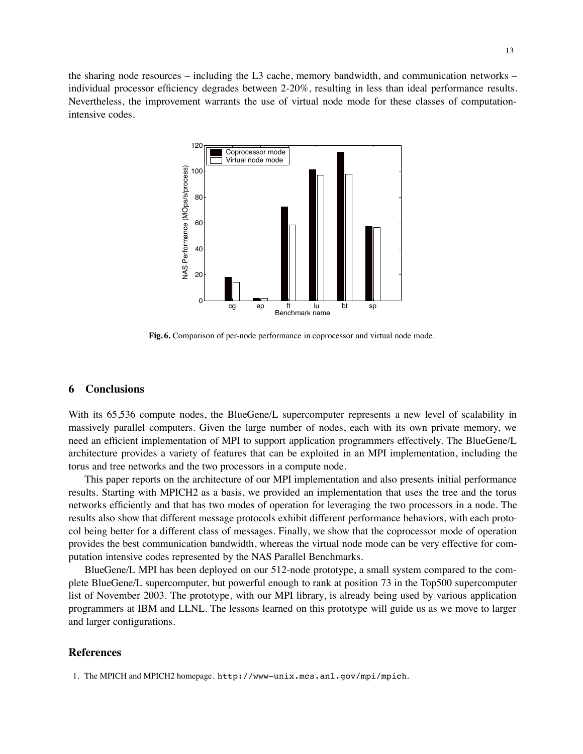the sharing node resources – including the L3 cache, memory bandwidth, and communication networks – individual processor efficiency degrades between 2-20%, resulting in less than ideal performance results. Nevertheless, the improvement warrants the use of virtual node mode for these classes of computationintensive codes.



**Fig. 6.** Comparison of per-node performance in coprocessor and virtual node mode.

## **6 Conclusions**

With its 65,536 compute nodes, the BlueGene/L supercomputer represents a new level of scalability in massively parallel computers. Given the large number of nodes, each with its own private memory, we need an efficient implementation of MPI to support application programmers effectively. The BlueGene/L architecture provides a variety of features that can be exploited in an MPI implementation, including the torus and tree networks and the two processors in a compute node.

This paper reports on the architecture of our MPI implementation and also presents initial performance results. Starting with MPICH2 as a basis, we provided an implementation that uses the tree and the torus networks efficiently and that has two modes of operation for leveraging the two processors in a node. The results also show that different message protocols exhibit different performance behaviors, with each protocol being better for a different class of messages. Finally, we show that the coprocessor mode of operation provides the best communication bandwidth, whereas the virtual node mode can be very effective for computation intensive codes represented by the NAS Parallel Benchmarks.

BlueGene/L MPI has been deployed on our 512-node prototype, a small system compared to the complete BlueGene/L supercomputer, but powerful enough to rank at position 73 in the Top500 supercomputer list of November 2003. The prototype, with our MPI library, is already being used by various application programmers at IBM and LLNL. The lessons learned on this prototype will guide us as we move to larger and larger configurations.

#### **References**

1. The MPICH and MPICH2 homepage. http://www-unix.mcs.anl.gov/mpi/mpich.